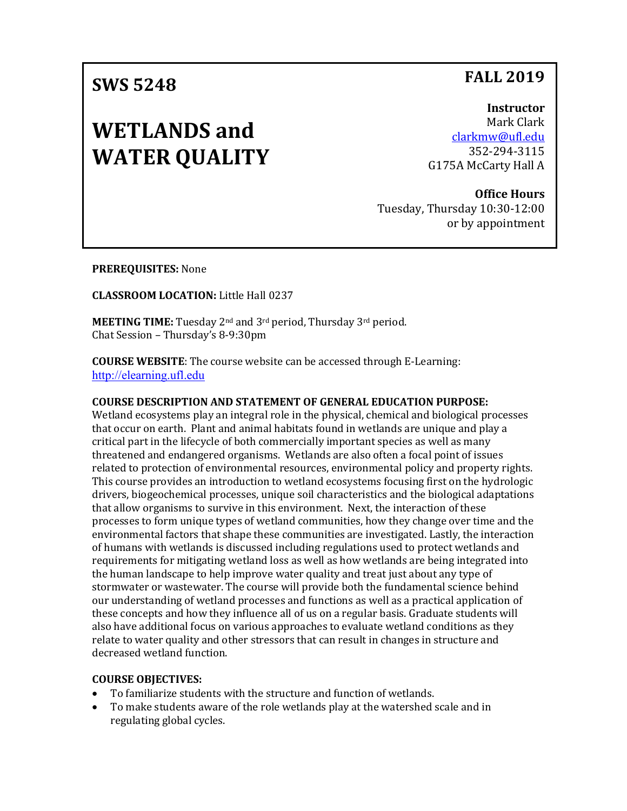# **SWS 5248**

# **WETLANDS and WATER QUALITY**

**Instructor** Mark Clark [clarkmw@ufl.edu](mailto:clarkmw@ufl.edu) 352-294-3115 G175A McCarty Hall A

**Office Hours** Tuesday, Thursday 10:30-12:00 or by appointment

**PREREQUISITES:** None

**CLASSROOM LOCATION:** Little Hall 0237

**MEETING TIME:** Tuesday 2nd and 3rd period, Thursday 3rd period. Chat Session – Thursday's 8-9:30pm

**COURSE WEBSITE**: The course website can be accessed through E-Learning: [http://elearning.ufl.edu](http://elearning.ufl.edu/)

#### **COURSE DESCRIPTION AND STATEMENT OF GENERAL EDUCATION PURPOSE:**

Wetland ecosystems play an integral role in the physical, chemical and biological processes that occur on earth. Plant and animal habitats found in wetlands are unique and play a critical part in the lifecycle of both commercially important species as well as many threatened and endangered organisms. Wetlands are also often a focal point of issues related to protection of environmental resources, environmental policy and property rights. This course provides an introduction to wetland ecosystems focusing first on the hydrologic drivers, biogeochemical processes, unique soil characteristics and the biological adaptations that allow organisms to survive in this environment. Next, the interaction of these processes to form unique types of wetland communities, how they change over time and the environmental factors that shape these communities are investigated. Lastly, the interaction of humans with wetlands is discussed including regulations used to protect wetlands and requirements for mitigating wetland loss as well as how wetlands are being integrated into the human landscape to help improve water quality and treat just about any type of stormwater or wastewater. The course will provide both the fundamental science behind our understanding of wetland processes and functions as well as a practical application of these concepts and how they influence all of us on a regular basis. Graduate students will also have additional focus on various approaches to evaluate wetland conditions as they relate to water quality and other stressors that can result in changes in structure and decreased wetland function.

#### **COURSE OBJECTIVES:**

- To familiarize students with the structure and function of wetlands.<br>• To make students aware of the role wetlands play at the watershed s
- To make students aware of the role wetlands play at the watershed scale and in regulating global cycles.

# **FALL 2019**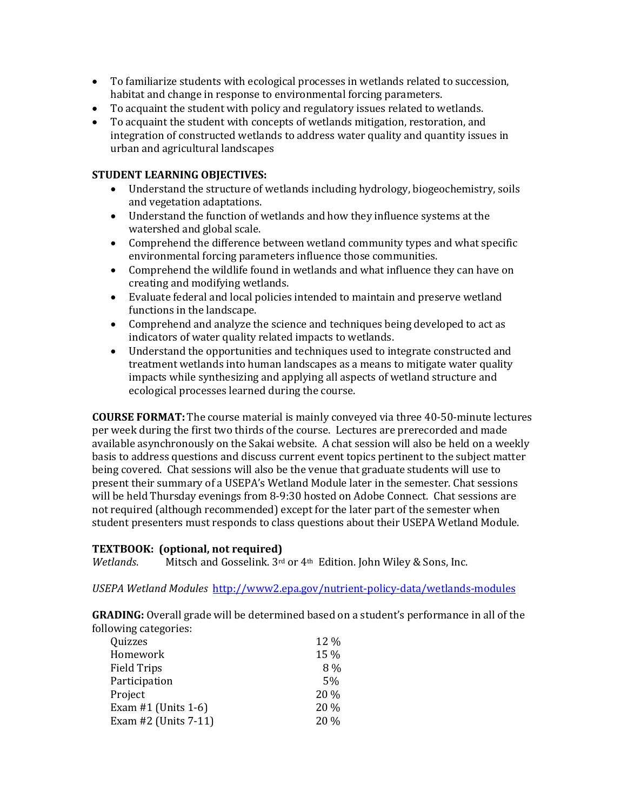- To familiarize students with ecological processes in wetlands related to succession, habitat and change in response to environmental forcing parameters.
- To acquaint the student with policy and regulatory issues related to wetlands.
- To acquaint the student with concepts of wetlands mitigation, restoration, and integration of constructed wetlands to address water quality and quantity issues in urban and agricultural landscapes

### **STUDENT LEARNING OBJECTIVES:**

- Understand the structure of wetlands including hydrology, biogeochemistry, soils and vegetation adaptations.
- Understand the function of wetlands and how they influence systems at the watershed and global scale.
- Comprehend the difference between wetland community types and what specific environmental forcing parameters influence those communities.
- Comprehend the wildlife found in wetlands and what influence they can have on creating and modifying wetlands.
- Evaluate federal and local policies intended to maintain and preserve wetland functions in the landscape.
- Comprehend and analyze the science and techniques being developed to act as indicators of water quality related impacts to wetlands.
- Understand the opportunities and techniques used to integrate constructed and treatment wetlands into human landscapes as a means to mitigate water quality impacts while synthesizing and applying all aspects of wetland structure and ecological processes learned during the course.

**COURSE FORMAT:** The course material is mainly conveyed via three 40-50-minute lectures per week during the first two thirds of the course. Lectures are prerecorded and made available asynchronously on the Sakai website. A chat session will also be held on a weekly basis to address questions and discuss current event topics pertinent to the subject matter being covered. Chat sessions will also be the venue that graduate students will use to present their summary of a USEPA's Wetland Module later in the semester. Chat sessions will be held Thursday evenings from 8-9:30 hosted on Adobe Connect. Chat sessions are not required (although recommended) except for the later part of the semester when student presenters must responds to class questions about their USEPA Wetland Module.

# **TEXTBOOK: (optional, not required)**

*Wetlands.* Mitsch and Gosselink. 3<sup>rd</sup> or 4<sup>th</sup> Edition. John Wiley & Sons, Inc.

*USEPA Wetland Modules* <http://www2.epa.gov/nutrient-policy-data/wetlands-modules>

**GRADING:** Overall grade will be determined based on a student's performance in all of the following categories:

| Quizzes               | 12 % |
|-----------------------|------|
| Homework              | 15 % |
| <b>Field Trips</b>    | 8%   |
| Participation         | 5%   |
| Project               | 20 % |
| Exam $#1$ (Units 1-6) | 20 % |
| Exam #2 (Units 7-11)  | 20 % |
|                       |      |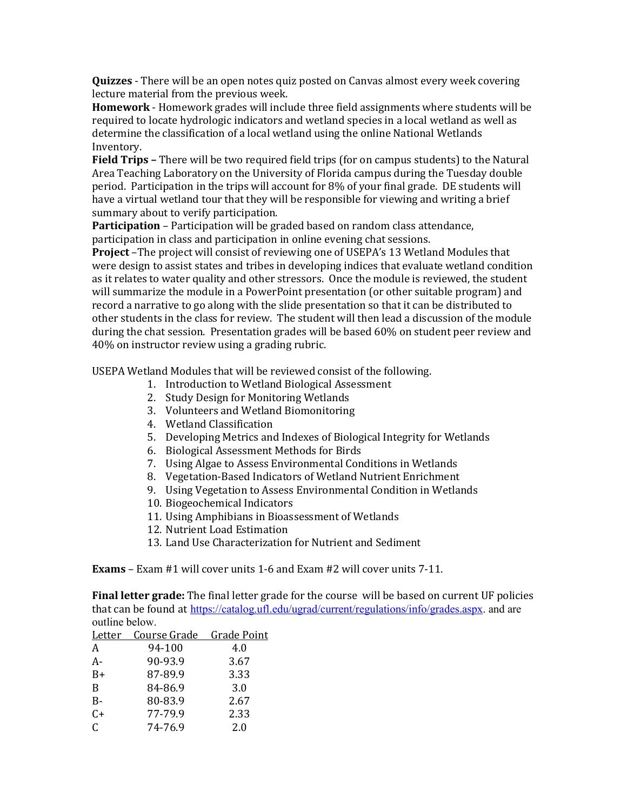**Quizzes** - There will be an open notes quiz posted on Canvas almost every week covering lecture material from the previous week.

**Homework** - Homework grades will include three field assignments where students will be required to locate hydrologic indicators and wetland species in a local wetland as well as determine the classification of a local wetland using the online National Wetlands Inventory.

**Field Trips –** There will be two required field trips (for on campus students) to the Natural Area Teaching Laboratory on the University of Florida campus during the Tuesday double period. Participation in the trips will account for 8% of your final grade. DE students will have a virtual wetland tour that they will be responsible for viewing and writing a brief summary about to verify participation.

**Participation** – Participation will be graded based on random class attendance, participation in class and participation in online evening chat sessions.

**Project** –The project will consist of reviewing one of USEPA's 13 Wetland Modules that were design to assist states and tribes in developing indices that evaluate wetland condition as it relates to water quality and other stressors. Once the module is reviewed, the student will summarize the module in a PowerPoint presentation (or other suitable program) and record a narrative to go along with the slide presentation so that it can be distributed to other students in the class for review. The student will then lead a discussion of the module during the chat session. Presentation grades will be based 60% on student peer review and 40% on instructor review using a grading rubric.

USEPA Wetland Modules that will be reviewed consist of the following.

- 1. Introduction to Wetland Biological Assessment
- 2. Study Design for Monitoring Wetlands
- 3. Volunteers and Wetland Biomonitoring
- 4. Wetland Classification
- 5. Developing Metrics and Indexes of Biological Integrity for Wetlands
- 6. Biological Assessment Methods for Birds
- 7. Using Algae to Assess Environmental Conditions in Wetlands
- 8. Vegetation-Based Indicators of Wetland Nutrient Enrichment
- 9. Using Vegetation to Assess Environmental Condition in Wetlands
- 10. Biogeochemical Indicators
- 11. Using Amphibians in Bioassessment of Wetlands
- 12. Nutrient Load Estimation
- 13. Land Use Characterization for Nutrient and Sediment

**Exams** – Exam #1 will cover units 1-6 and Exam #2 will cover units 7-11.

**Final letter grade:** The final letter grade for the course will be based on current UF policies that can be found at [https://catalog.ufl.edu/ugrad/current/regulations/info/grades.aspx.](https://catalog.ufl.edu/ugrad/current/regulations/info/grades.aspx) and are outline below.

| Letter | Course Grade | Grade Point |
|--------|--------------|-------------|
| A      | 94-100       | 4.0         |
| A-     | 90-93.9      | 3.67        |
| $B+$   | 87-89.9      | 3.33        |
| B      | 84-86.9      | 3.0         |
| $B -$  | 80-83.9      | 2.67        |
| $C+$   | 77-79.9      | 2.33        |
| C      | 74-76.9      | 2.0         |
|        |              |             |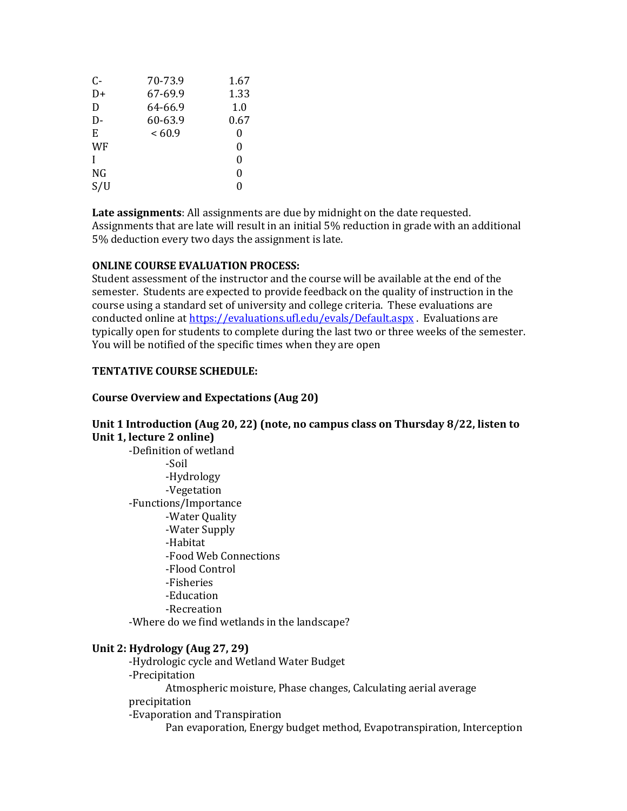| $C-$ | 70-73.9 | 1.67 |
|------|---------|------|
| D+   | 67-69.9 | 1.33 |
| D    | 64-66.9 | 1.0  |
| D-   | 60-63.9 | 0.67 |
| E    | <60.9   | 0    |
| WF   |         | 0    |
| I    |         | 0    |
| NG   |         | 0    |
| S/U  |         | 0    |
|      |         |      |

**Late assignments**: All assignments are due by midnight on the date requested. Assignments that are late will result in an initial 5% reduction in grade with an additional 5% deduction every two days the assignment is late.

#### **ONLINE COURSE EVALUATION PROCESS:**

Student assessment of the instructor and the course will be available at the end of the semester. Students are expected to provide feedback on the quality of instruction in the course using a standard set of university and college criteria. These evaluations are conducted online at<https://evaluations.ufl.edu/evals/Default.aspx> . Evaluations are typically open for students to complete during the last two or three weeks of the semester. You will be notified of the specific times when they are open

#### **TENTATIVE COURSE SCHEDULE:**

#### **Course Overview and Expectations (Aug 20)**

#### **Unit 1 Introduction (Aug 20, 22) (note, no campus class on Thursday 8/22, listen to Unit 1, lecture 2 online)**

-Definition of wetland -Soil -Hydrology -Vegetation -Functions/Importance -Water Quality -Water Supply -Habitat -Food Web Connections -Flood Control -Fisheries -Education -Recreation

-Where do we find wetlands in the landscape?

#### **Unit 2: Hydrology (Aug 27, 29)**

-Hydrologic cycle and Wetland Water Budget -Precipitation Atmospheric moisture, Phase changes, Calculating aerial average precipitation -Evaporation and Transpiration Pan evaporation, Energy budget method, Evapotranspiration, Interception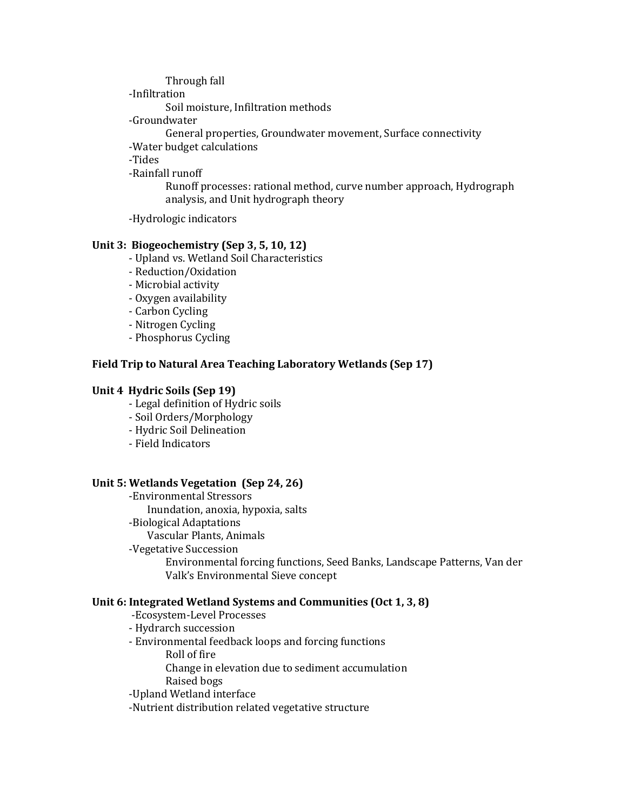Through fall

-Infiltration

Soil moisture, Infiltration methods

-Groundwater

General properties, Groundwater movement, Surface connectivity

-Water budget calculations

-Tides

-Rainfall runoff

Runoff processes: rational method, curve number approach, Hydrograph analysis, and Unit hydrograph theory

-Hydrologic indicators

# **Unit 3: Biogeochemistry (Sep 3, 5, 10, 12)**

- Upland vs. Wetland Soil Characteristics

- Reduction/Oxidation
- Microbial activity
- Oxygen availability
- Carbon Cycling
- Nitrogen Cycling
- Phosphorus Cycling

# **Field Trip to Natural Area Teaching Laboratory Wetlands (Sep 17)**

#### **Unit 4 Hydric Soils (Sep 19)**

- Legal definition of Hydric soils
- Soil Orders/Morphology
- Hydric Soil Delineation
- Field Indicators

#### **Unit 5: Wetlands Vegetation (Sep 24, 26)**

-Environmental Stressors Inundation, anoxia, hypoxia, salts -Biological Adaptations Vascular Plants, Animals -Vegetative Succession Environmental forcing functions, Seed Banks, Landscape Patterns, Van der Valk's Environmental Sieve concept

#### **Unit 6: Integrated Wetland Systems and Communities (Oct 1, 3, 8)**

-Ecosystem-Level Processes

- Hydrarch succession
- Environmental feedback loops and forcing functions
	- Roll of fire

Change in elevation due to sediment accumulation Raised bogs

-Upland Wetland interface

-Nutrient distribution related vegetative structure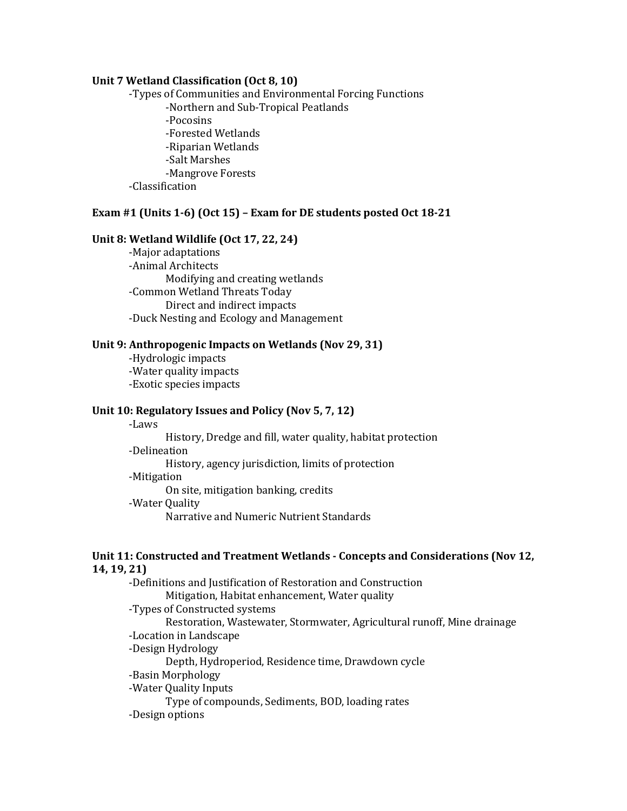#### **Unit 7 Wetland Classification (Oct 8, 10)**

-Types of Communities and Environmental Forcing Functions -Northern and Sub-Tropical Peatlands -Pocosins -Forested Wetlands -Riparian Wetlands -Salt Marshes -Mangrove Forests -Classification

#### **Exam #1 (Units 1-6) (Oct 15) – Exam for DE students posted Oct 18-21**

#### **Unit 8: Wetland Wildlife (Oct 17, 22, 24)**

-Major adaptations -Animal Architects Modifying and creating wetlands -Common Wetland Threats Today Direct and indirect impacts -Duck Nesting and Ecology and Management

#### **Unit 9: Anthropogenic Impacts on Wetlands (Nov 29, 31)**

-Hydrologic impacts -Water quality impacts -Exotic species impacts

## **Unit 10: Regulatory Issues and Policy (Nov 5, 7, 12)**

-Laws

History, Dredge and fill, water quality, habitat protection -Delineation

History, agency jurisdiction, limits of protection

#### -Mitigation

On site, mitigation banking, credits

#### -Water Quality

Narrative and Numeric Nutrient Standards

#### **Unit 11: Constructed and Treatment Wetlands - Concepts and Considerations (Nov 12, 14, 19, 21)**

-Definitions and Justification of Restoration and Construction Mitigation, Habitat enhancement, Water quality -Types of Constructed systems Restoration, Wastewater, Stormwater, Agricultural runoff, Mine drainage -Location in Landscape -Design Hydrology Depth, Hydroperiod, Residence time, Drawdown cycle -Basin Morphology -Water Quality Inputs Type of compounds, Sediments, BOD, loading rates -Design options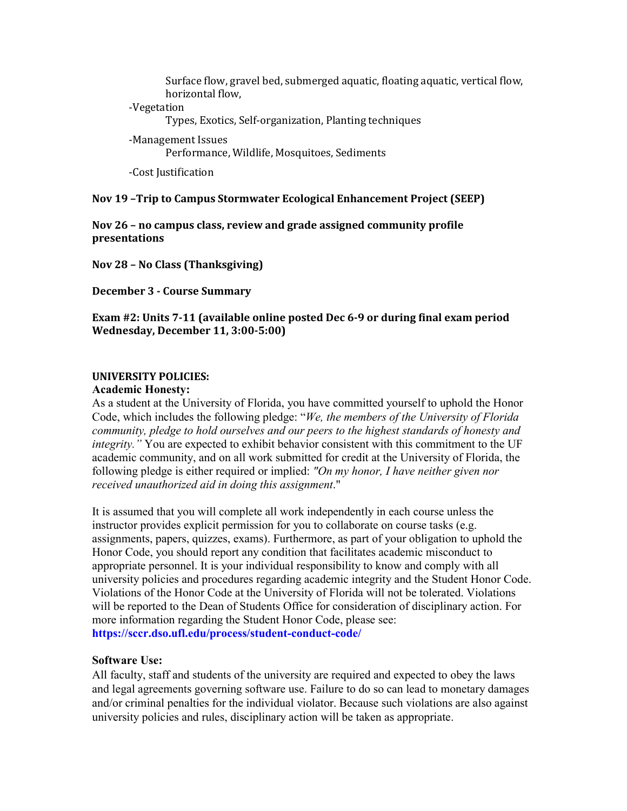Surface flow, gravel bed, submerged aquatic, floating aquatic, vertical flow, horizontal flow,

#### -Vegetation

Types, Exotics, Self-organization, Planting techniques

-Management Issues Performance, Wildlife, Mosquitoes, Sediments

-Cost Justification

#### **Nov 19 –Trip to Campus Stormwater Ecological Enhancement Project (SEEP)**

**Nov 26 – no campus class, review and grade assigned community profile presentations**

**Nov 28 – No Class (Thanksgiving)**

**December 3 - Course Summary**

## **Exam #2: Units 7-11 (available online posted Dec 6-9 or during final exam period Wednesday, December 11, 3:00-5:00)**

### **UNIVERSITY POLICIES:**

#### **Academic Honesty:**

As a student at the University of Florida, you have committed yourself to uphold the Honor Code, which includes the following pledge: "*We, the members of the University of Florida community, pledge to hold ourselves and our peers to the highest standards of honesty and integrity."* You are expected to exhibit behavior consistent with this commitment to the UF academic community, and on all work submitted for credit at the University of Florida, the following pledge is either required or implied: *"On my honor, I have neither given nor received unauthorized aid in doing this assignment*."

It is assumed that you will complete all work independently in each course unless the instructor provides explicit permission for you to collaborate on course tasks (e.g. assignments, papers, quizzes, exams). Furthermore, as part of your obligation to uphold the Honor Code, you should report any condition that facilitates academic misconduct to appropriate personnel. It is your individual responsibility to know and comply with all university policies and procedures regarding academic integrity and the Student Honor Code. Violations of the Honor Code at the University of Florida will not be tolerated. Violations will be reported to the Dean of Students Office for consideration of disciplinary action. For more information regarding the Student Honor Code, please see: **https://sccr.dso.ufl.edu/process/student-conduct-code/**

#### **Software Use:**

All faculty, staff and students of the university are required and expected to obey the laws and legal agreements governing software use. Failure to do so can lead to monetary damages and/or criminal penalties for the individual violator. Because such violations are also against university policies and rules, disciplinary action will be taken as appropriate.